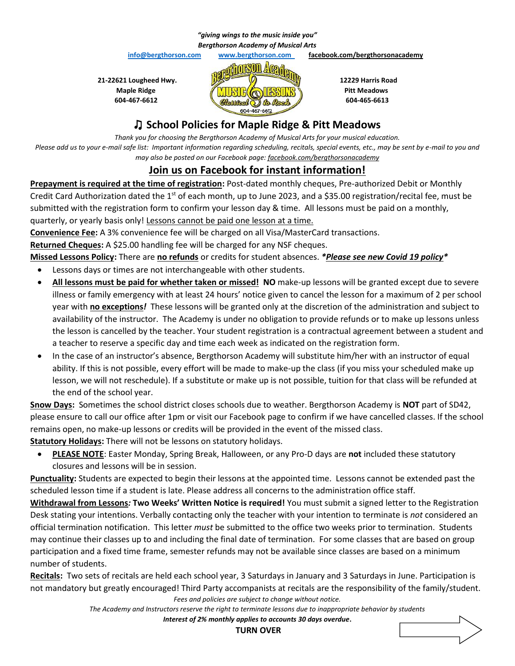#### *"giving wings to the music inside you" Bergthorson Academy of Musical Arts*

 **info@bergthorson.com www.bergthorson.com facebook.com/bergthorsonacademy**



### ♫ **School Policies for Maple Ridge & Pitt Meadows**

*Thank you for choosing the Bergthorson Academy of Musical Arts for your musical education. Please add us to your e-mail safe list: Important information regarding scheduling, recitals, special events, etc., may be sent by e-mail to you and may also be posted on our Facebook page: facebook.com/bergthorsonacademy*

## **Join us on Facebook for instant information!**

**Prepayment is required at the time of registration:** Post-dated monthly cheques, Pre-authorized Debit or Monthly Credit Card Authorization dated the  $1<sup>st</sup>$  of each month, up to June 2023, and a \$35.00 registration/recital fee, must be submitted with the registration form to confirm your lesson day & time. All lessons must be paid on a monthly, quarterly, or yearly basis only! Lessons cannot be paid one lesson at a time.

**Convenience Fee:** A 3% convenience fee will be charged on all Visa/MasterCard transactions.

**Returned Cheques:** A \$25.00 handling fee will be charged for any NSF cheques.

**Missed Lessons Policy:** There are **no refunds** or credits for student absences. *\*Please see new Covid 19 policy\**

- Lessons days or times are not interchangeable with other students.
- **All lessons must be paid for whether taken or missed! NO** make-up lessons will be granted except due to severe illness or family emergency with at least 24 hours' notice given to cancel the lesson for a maximum of 2 per school year with **no exceptions***!* These lessons will be granted only at the discretion of the administration and subject to availability of the instructor. The Academy is under no obligation to provide refunds or to make up lessons unless the lesson is cancelled by the teacher. Your student registration is a contractual agreement between a student and a teacher to reserve a specific day and time each week as indicated on the registration form.
- In the case of an instructor's absence, Bergthorson Academy will substitute him/her with an instructor of equal ability. If this is not possible, every effort will be made to make-up the class (if you miss your scheduled make up lesson, we will not reschedule). If a substitute or make up is not possible, tuition for that class will be refunded at the end of the school year.

**Snow Days:** Sometimes the school district closes schools due to weather. Bergthorson Academy is **NOT** part of SD42, please ensure to call our office after 1pm or visit our Facebook page to confirm if we have cancelled classes. If the school remains open, no make-up lessons or credits will be provided in the event of the missed class. **Statutory Holidays:** There will not be lessons on statutory holidays.

• **PLEASE NOTE**: Easter Monday, Spring Break, Halloween, or any Pro-D days are **not** included these statutory closures and lessons will be in session.

**Punctuality:** Students are expected to begin their lessons at the appointed time. Lessons cannot be extended past the scheduled lesson time if a student is late. Please address all concerns to the administration office staff.

**Withdrawal from Lessons***:* **Two Weeks' Written Notice is required!** You must submit a signed letter to the Registration Desk stating your intentions. Verbally contacting only the teacher with your intention to terminate is *not* considered an official termination notification. This letter *must* be submitted to the office two weeks prior to termination. Students may continue their classes up to and including the final date of termination. For some classes that are based on group participation and a fixed time frame, semester refunds may not be available since classes are based on a minimum number of students.

**Recitals:** Two sets of recitals are held each school year, 3 Saturdays in January and 3 Saturdays in June. Participation is not mandatory but greatly encouraged! Third Party accompanists at recitals are the responsibility of the family/student.

*Fees and policies are subject to change without notice.*

*The Academy and Instructors reserve the right to terminate lessons due to inappropriate behavior by students Interest of 2% monthly applies to accounts 30 days overdue***.**

**TURN OVER**